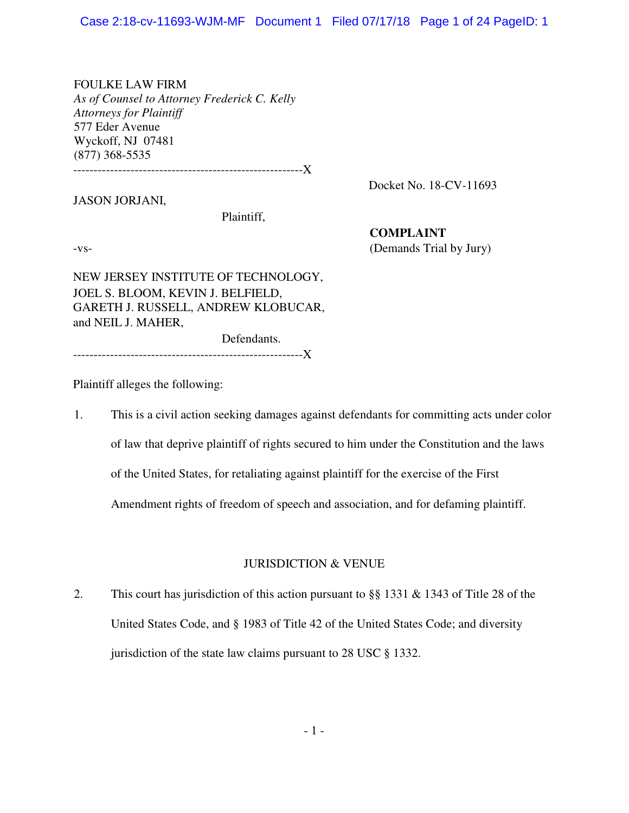FOULKE LAW FIRM *As of Counsel to Attorney Frederick C. Kelly Attorneys for Plaintiff*  577 Eder Avenue Wyckoff, NJ 07481 (877) 368-5535

--------------------------------------------------------X

Docket No. 18-CV-11693

JASON JORJANI,

Plaintiff,

**COMPLAINT** -vs- (Demands Trial by Jury)

NEW JERSEY INSTITUTE OF TECHNOLOGY, JOEL S. BLOOM, KEVIN J. BELFIELD, GARETH J. RUSSELL, ANDREW KLOBUCAR, and NEIL J. MAHER,

Defendants.

--------------------------------------------------------X

Plaintiff alleges the following:

1. This is a civil action seeking damages against defendants for committing acts under color of law that deprive plaintiff of rights secured to him under the Constitution and the laws of the United States, for retaliating against plaintiff for the exercise of the First Amendment rights of freedom of speech and association, and for defaming plaintiff.

## JURISDICTION & VENUE

2. This court has jurisdiction of this action pursuant to §§ 1331 & 1343 of Title 28 of the United States Code, and § 1983 of Title 42 of the United States Code; and diversity jurisdiction of the state law claims pursuant to 28 USC § 1332.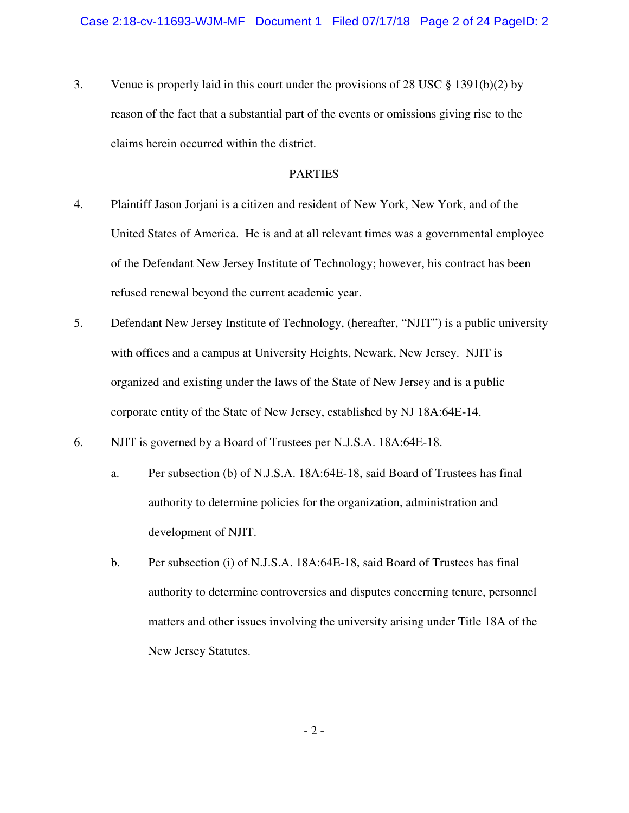3. Venue is properly laid in this court under the provisions of 28 USC § 1391(b)(2) by reason of the fact that a substantial part of the events or omissions giving rise to the claims herein occurred within the district.

## PARTIES

- 4. Plaintiff Jason Jorjani is a citizen and resident of New York, New York, and of the United States of America. He is and at all relevant times was a governmental employee of the Defendant New Jersey Institute of Technology; however, his contract has been refused renewal beyond the current academic year.
- 5. Defendant New Jersey Institute of Technology, (hereafter, "NJIT") is a public university with offices and a campus at University Heights, Newark, New Jersey. NJIT is organized and existing under the laws of the State of New Jersey and is a public corporate entity of the State of New Jersey, established by NJ 18A:64E-14.
- 6. NJIT is governed by a Board of Trustees per N.J.S.A. 18A:64E-18.
	- a. Per subsection (b) of N.J.S.A. 18A:64E-18, said Board of Trustees has final authority to determine policies for the organization, administration and development of NJIT.
	- b. Per subsection (i) of N.J.S.A. 18A:64E-18, said Board of Trustees has final authority to determine controversies and disputes concerning tenure, personnel matters and other issues involving the university arising under Title 18A of the New Jersey Statutes.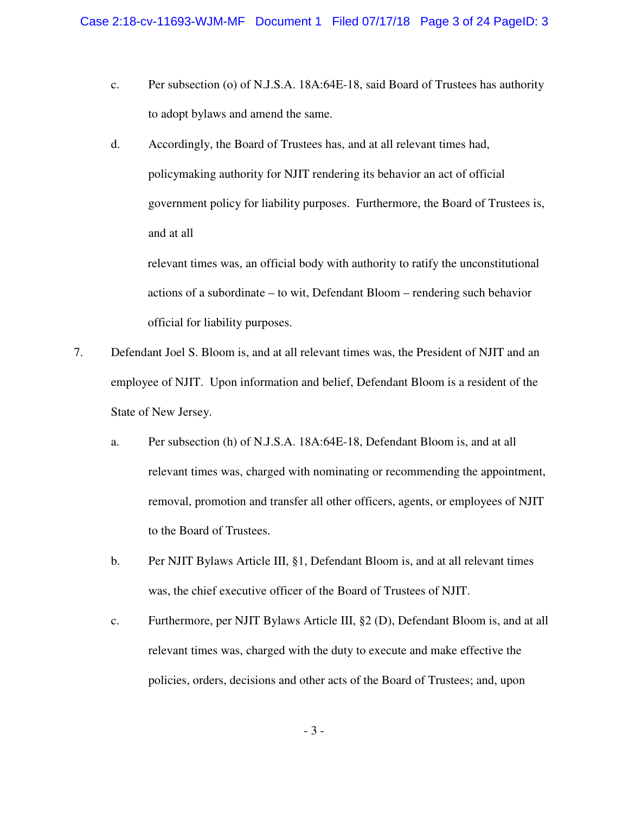- c. Per subsection (o) of N.J.S.A. 18A:64E-18, said Board of Trustees has authority to adopt bylaws and amend the same.
- d. Accordingly, the Board of Trustees has, and at all relevant times had, policymaking authority for NJIT rendering its behavior an act of official government policy for liability purposes. Furthermore, the Board of Trustees is, and at all

relevant times was, an official body with authority to ratify the unconstitutional actions of a subordinate – to wit, Defendant Bloom – rendering such behavior official for liability purposes.

- 7. Defendant Joel S. Bloom is, and at all relevant times was, the President of NJIT and an employee of NJIT. Upon information and belief, Defendant Bloom is a resident of the State of New Jersey.
	- a. Per subsection (h) of N.J.S.A. 18A:64E-18, Defendant Bloom is, and at all relevant times was, charged with nominating or recommending the appointment, removal, promotion and transfer all other officers, agents, or employees of NJIT to the Board of Trustees.
	- b. Per NJIT Bylaws Article III, §1, Defendant Bloom is, and at all relevant times was, the chief executive officer of the Board of Trustees of NJIT.
	- c. Furthermore, per NJIT Bylaws Article III, §2 (D), Defendant Bloom is, and at all relevant times was, charged with the duty to execute and make effective the policies, orders, decisions and other acts of the Board of Trustees; and, upon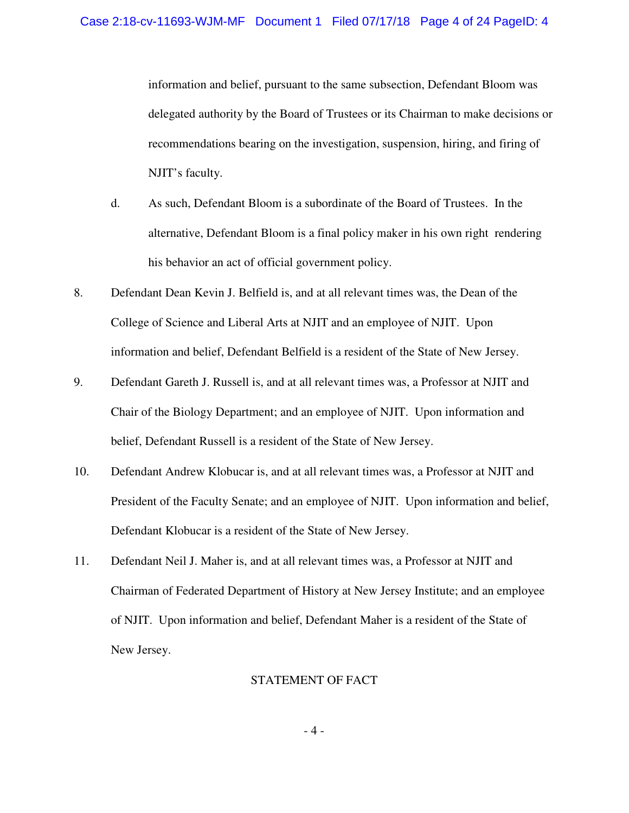information and belief, pursuant to the same subsection, Defendant Bloom was delegated authority by the Board of Trustees or its Chairman to make decisions or recommendations bearing on the investigation, suspension, hiring, and firing of NJIT's faculty.

- d. As such, Defendant Bloom is a subordinate of the Board of Trustees. In the alternative, Defendant Bloom is a final policy maker in his own right rendering his behavior an act of official government policy.
- 8. Defendant Dean Kevin J. Belfield is, and at all relevant times was, the Dean of the College of Science and Liberal Arts at NJIT and an employee of NJIT. Upon information and belief, Defendant Belfield is a resident of the State of New Jersey.
- 9. Defendant Gareth J. Russell is, and at all relevant times was, a Professor at NJIT and Chair of the Biology Department; and an employee of NJIT. Upon information and belief, Defendant Russell is a resident of the State of New Jersey.
- 10. Defendant Andrew Klobucar is, and at all relevant times was, a Professor at NJIT and President of the Faculty Senate; and an employee of NJIT. Upon information and belief, Defendant Klobucar is a resident of the State of New Jersey.
- 11. Defendant Neil J. Maher is, and at all relevant times was, a Professor at NJIT and Chairman of Federated Department of History at New Jersey Institute; and an employee of NJIT. Upon information and belief, Defendant Maher is a resident of the State of New Jersey.

## STATEMENT OF FACT

- 4 -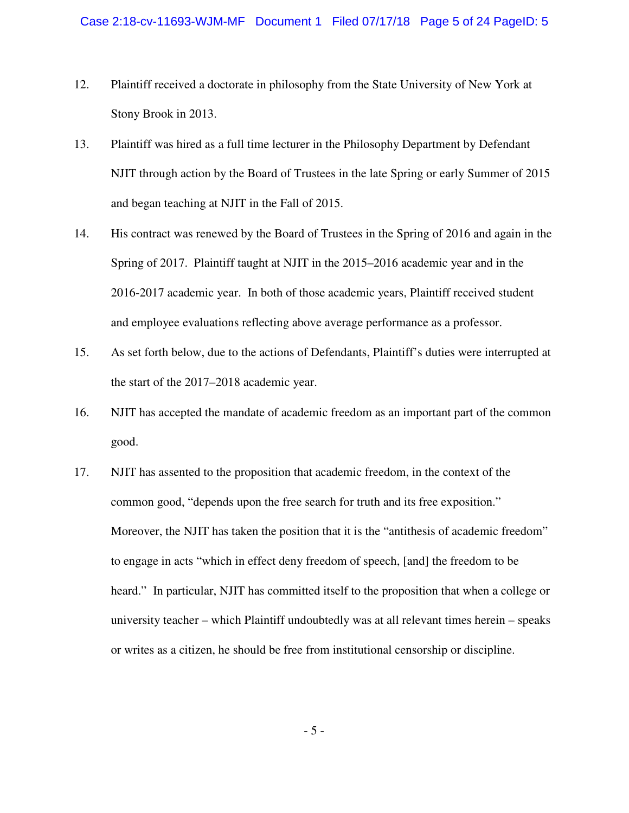- 12. Plaintiff received a doctorate in philosophy from the State University of New York at Stony Brook in 2013.
- 13. Plaintiff was hired as a full time lecturer in the Philosophy Department by Defendant NJIT through action by the Board of Trustees in the late Spring or early Summer of 2015 and began teaching at NJIT in the Fall of 2015.
- 14. His contract was renewed by the Board of Trustees in the Spring of 2016 and again in the Spring of 2017. Plaintiff taught at NJIT in the 2015–2016 academic year and in the 2016-2017 academic year. In both of those academic years, Plaintiff received student and employee evaluations reflecting above average performance as a professor.
- 15. As set forth below, due to the actions of Defendants, Plaintiff's duties were interrupted at the start of the 2017–2018 academic year.
- 16. NJIT has accepted the mandate of academic freedom as an important part of the common good.
- 17. NJIT has assented to the proposition that academic freedom, in the context of the common good, "depends upon the free search for truth and its free exposition." Moreover, the NJIT has taken the position that it is the "antithesis of academic freedom" to engage in acts "which in effect deny freedom of speech, [and] the freedom to be heard." In particular, NJIT has committed itself to the proposition that when a college or university teacher – which Plaintiff undoubtedly was at all relevant times herein – speaks or writes as a citizen, he should be free from institutional censorship or discipline.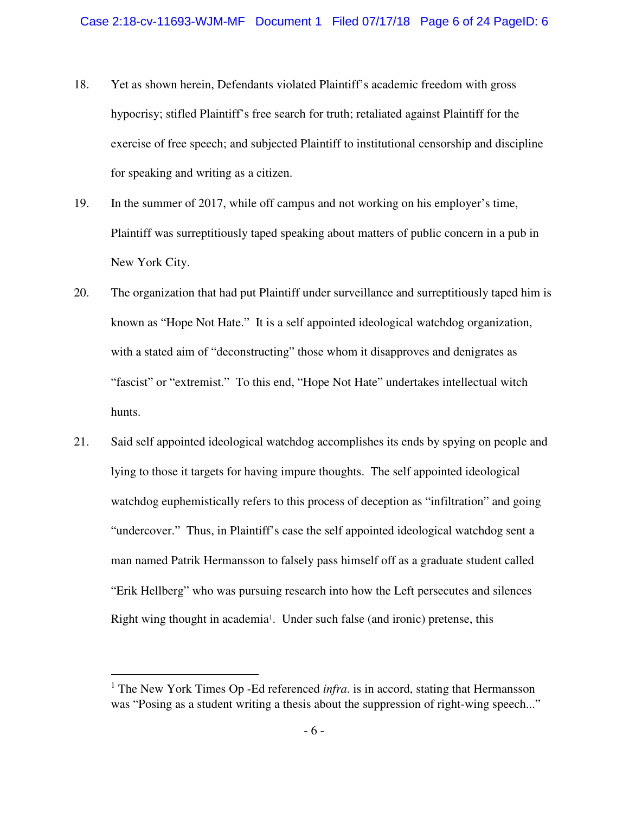- 18. Yet as shown herein, Defendants violated Plaintiff's academic freedom with gross hypocrisy; stifled Plaintiff's free search for truth; retaliated against Plaintiff for the exercise of free speech; and subjected Plaintiff to institutional censorship and discipline for speaking and writing as a citizen.
- 19. In the summer of 2017, while off campus and not working on his employer's time, Plaintiff was surreptitiously taped speaking about matters of public concern in a pub in New York City.
- 20. The organization that had put Plaintiff under surveillance and surreptitiously taped him is known as "Hope Not Hate." It is a self appointed ideological watchdog organization, with a stated aim of "deconstructing" those whom it disapproves and denigrates as "fascist" or "extremist." To this end, "Hope Not Hate" undertakes intellectual witch hunts.
- 21. Said self appointed ideological watchdog accomplishes its ends by spying on people and lying to those it targets for having impure thoughts. The self appointed ideological watchdog euphemistically refers to this process of deception as "infiltration" and going "undercover." Thus, in Plaintiff's case the self appointed ideological watchdog sent a man named Patrik Hermansson to falsely pass himself off as a graduate student called "Erik Hellberg" who was pursuing research into how the Left persecutes and silences Right wing thought in academia<sup>1</sup>. Under such false (and ironic) pretense, this

 $\overline{a}$ 

<sup>&</sup>lt;sup>1</sup> The New York Times Op -Ed referenced *infra*. is in accord, stating that Hermansson was "Posing as a student writing a thesis about the suppression of right-wing speech..."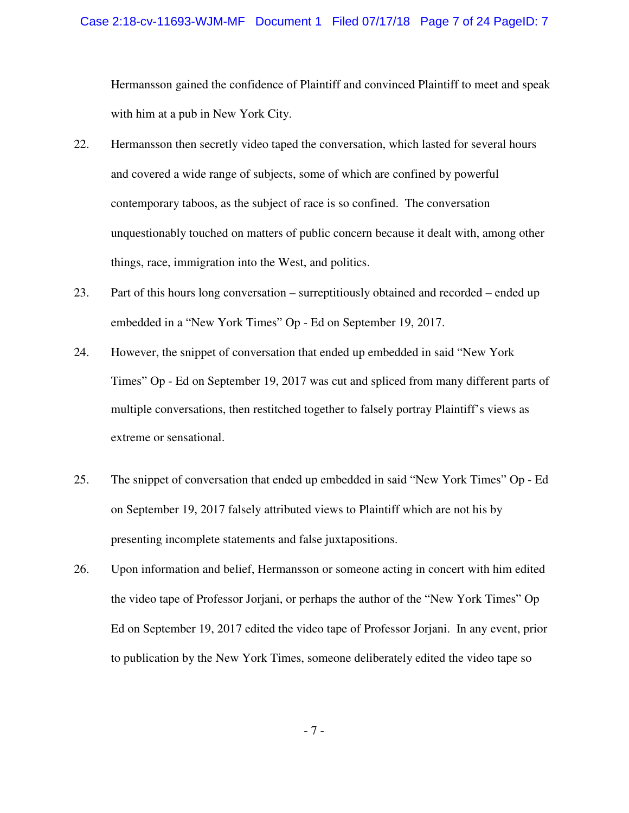Hermansson gained the confidence of Plaintiff and convinced Plaintiff to meet and speak with him at a pub in New York City.

- 22. Hermansson then secretly video taped the conversation, which lasted for several hours and covered a wide range of subjects, some of which are confined by powerful contemporary taboos, as the subject of race is so confined. The conversation unquestionably touched on matters of public concern because it dealt with, among other things, race, immigration into the West, and politics.
- 23. Part of this hours long conversation surreptitiously obtained and recorded ended up embedded in a "New York Times" Op - Ed on September 19, 2017.
- 24. However, the snippet of conversation that ended up embedded in said "New York Times" Op - Ed on September 19, 2017 was cut and spliced from many different parts of multiple conversations, then restitched together to falsely portray Plaintiff's views as extreme or sensational.
- 25. The snippet of conversation that ended up embedded in said "New York Times" Op Ed on September 19, 2017 falsely attributed views to Plaintiff which are not his by presenting incomplete statements and false juxtapositions.
- 26. Upon information and belief, Hermansson or someone acting in concert with him edited the video tape of Professor Jorjani, or perhaps the author of the "New York Times" Op Ed on September 19, 2017 edited the video tape of Professor Jorjani. In any event, prior to publication by the New York Times, someone deliberately edited the video tape so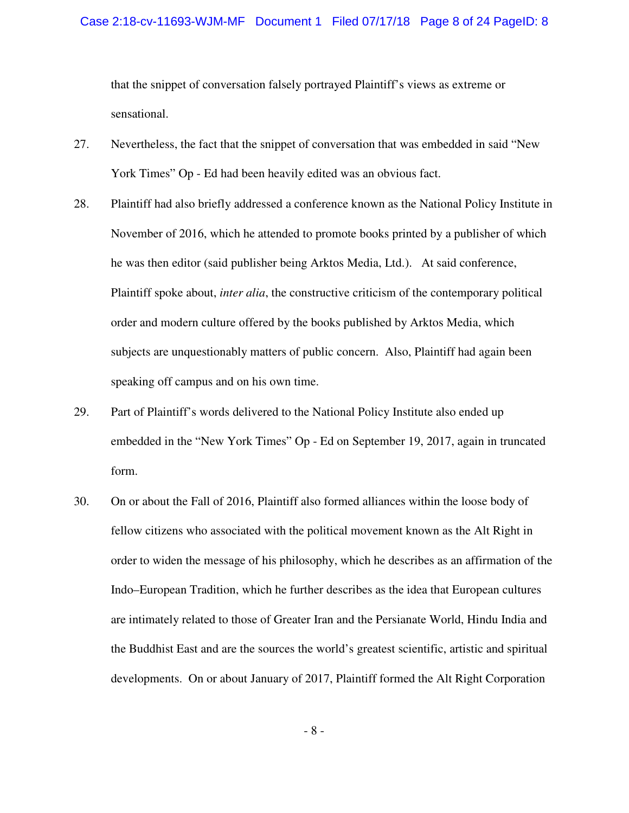that the snippet of conversation falsely portrayed Plaintiff's views as extreme or sensational.

- 27. Nevertheless, the fact that the snippet of conversation that was embedded in said "New York Times" Op - Ed had been heavily edited was an obvious fact.
- 28. Plaintiff had also briefly addressed a conference known as the National Policy Institute in November of 2016, which he attended to promote books printed by a publisher of which he was then editor (said publisher being Arktos Media, Ltd.). At said conference, Plaintiff spoke about, *inter alia*, the constructive criticism of the contemporary political order and modern culture offered by the books published by Arktos Media, which subjects are unquestionably matters of public concern. Also, Plaintiff had again been speaking off campus and on his own time.
- 29. Part of Plaintiff's words delivered to the National Policy Institute also ended up embedded in the "New York Times" Op - Ed on September 19, 2017, again in truncated form.
- 30. On or about the Fall of 2016, Plaintiff also formed alliances within the loose body of fellow citizens who associated with the political movement known as the Alt Right in order to widen the message of his philosophy, which he describes as an affirmation of the Indo–European Tradition, which he further describes as the idea that European cultures are intimately related to those of Greater Iran and the Persianate World, Hindu India and the Buddhist East and are the sources the world's greatest scientific, artistic and spiritual developments. On or about January of 2017, Plaintiff formed the Alt Right Corporation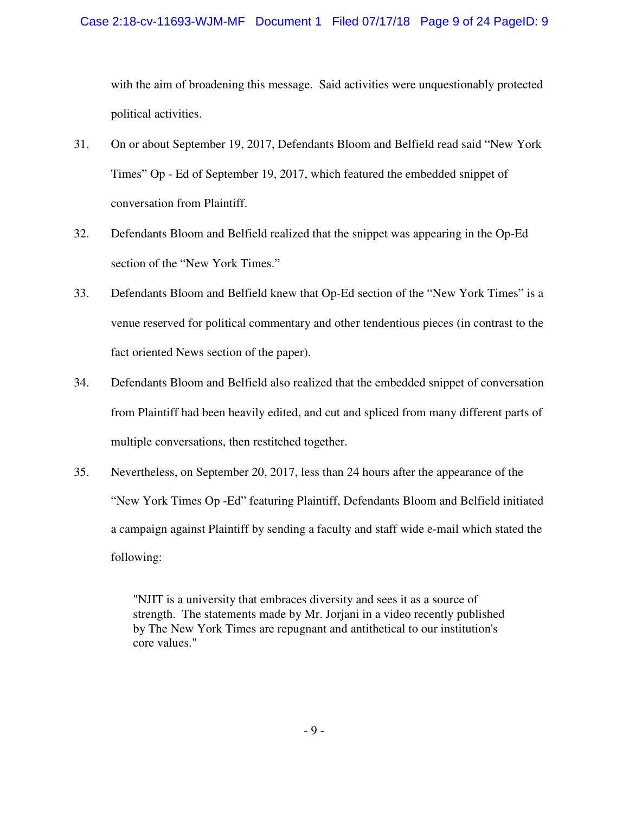with the aim of broadening this message. Said activities were unquestionably protected political activities.

- 31. On or about September 19, 2017, Defendants Bloom and Belfield read said "New York Times" Op - Ed of September 19, 2017, which featured the embedded snippet of conversation from Plaintiff.
- 32. Defendants Bloom and Belfield realized that the snippet was appearing in the Op-Ed section of the "New York Times."
- 33. Defendants Bloom and Belfield knew that Op-Ed section of the "New York Times" is a venue reserved for political commentary and other tendentious pieces (in contrast to the fact oriented News section of the paper).
- 34. Defendants Bloom and Belfield also realized that the embedded snippet of conversation from Plaintiff had been heavily edited, and cut and spliced from many different parts of multiple conversations, then restitched together.
- 35. Nevertheless, on September 20, 2017, less than 24 hours after the appearance of the "New York Times Op -Ed" featuring Plaintiff, Defendants Bloom and Belfield initiated a campaign against Plaintiff by sending a faculty and staff wide e-mail which stated the following:

"NJIT is a university that embraces diversity and sees it as a source of strength. The statements made by Mr. Jorjani in a video recently published by The New York Times are repugnant and antithetical to our institution's core values."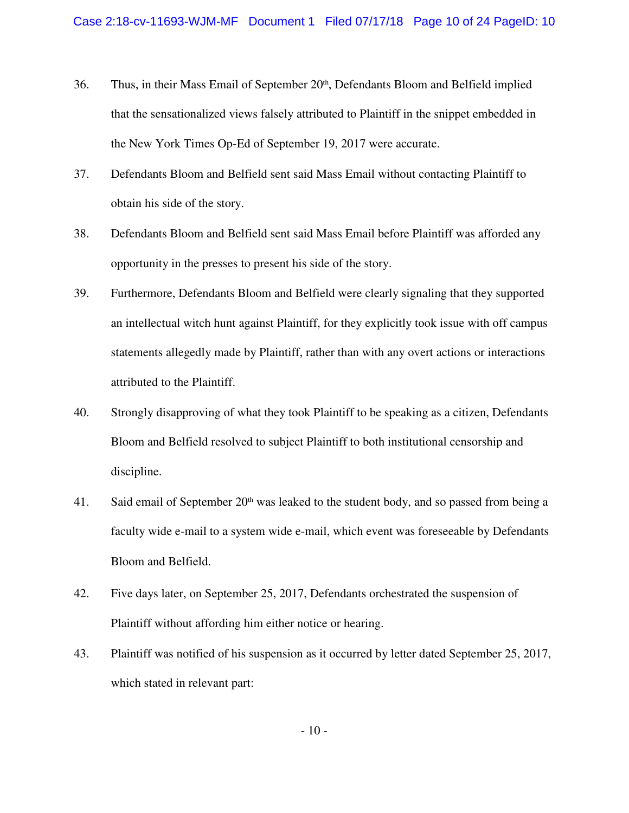- 36. Thus, in their Mass Email of September 20<sup>th</sup>, Defendants Bloom and Belfield implied that the sensationalized views falsely attributed to Plaintiff in the snippet embedded in the New York Times Op-Ed of September 19, 2017 were accurate.
- 37. Defendants Bloom and Belfield sent said Mass Email without contacting Plaintiff to obtain his side of the story.
- 38. Defendants Bloom and Belfield sent said Mass Email before Plaintiff was afforded any opportunity in the presses to present his side of the story.
- 39. Furthermore, Defendants Bloom and Belfield were clearly signaling that they supported an intellectual witch hunt against Plaintiff, for they explicitly took issue with off campus statements allegedly made by Plaintiff, rather than with any overt actions or interactions attributed to the Plaintiff.
- 40. Strongly disapproving of what they took Plaintiff to be speaking as a citizen, Defendants Bloom and Belfield resolved to subject Plaintiff to both institutional censorship and discipline.
- 41. Said email of September 20th was leaked to the student body, and so passed from being a faculty wide e-mail to a system wide e-mail, which event was foreseeable by Defendants Bloom and Belfield.
- 42. Five days later, on September 25, 2017, Defendants orchestrated the suspension of Plaintiff without affording him either notice or hearing.
- 43. Plaintiff was notified of his suspension as it occurred by letter dated September 25, 2017, which stated in relevant part: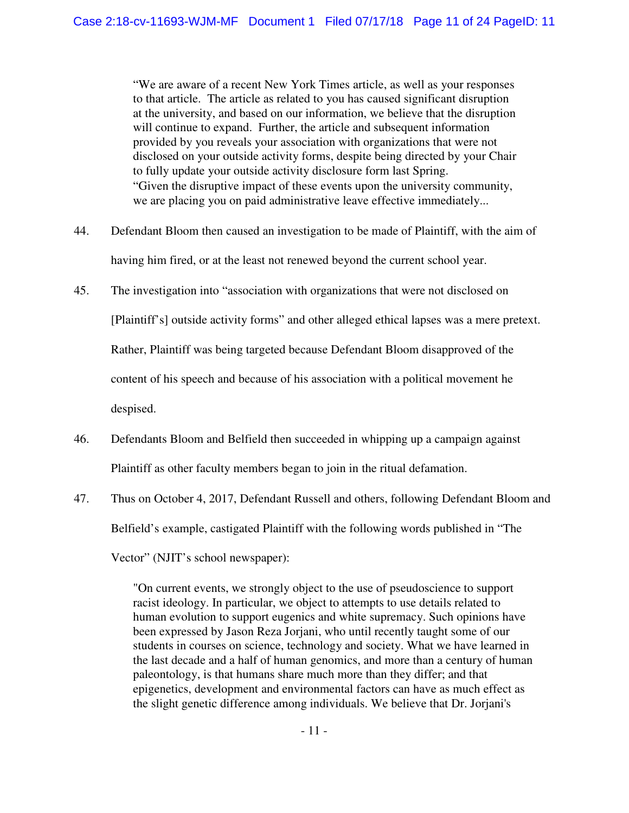"We are aware of a recent New York Times article, as well as your responses to that article. The article as related to you has caused significant disruption at the university, and based on our information, we believe that the disruption will continue to expand. Further, the article and subsequent information provided by you reveals your association with organizations that were not disclosed on your outside activity forms, despite being directed by your Chair to fully update your outside activity disclosure form last Spring. "Given the disruptive impact of these events upon the university community, we are placing you on paid administrative leave effective immediately...

- 44. Defendant Bloom then caused an investigation to be made of Plaintiff, with the aim of having him fired, or at the least not renewed beyond the current school year.
- 45. The investigation into "association with organizations that were not disclosed on [Plaintiff's] outside activity forms" and other alleged ethical lapses was a mere pretext. Rather, Plaintiff was being targeted because Defendant Bloom disapproved of the content of his speech and because of his association with a political movement he despised.
- 46. Defendants Bloom and Belfield then succeeded in whipping up a campaign against Plaintiff as other faculty members began to join in the ritual defamation.
- 47. Thus on October 4, 2017, Defendant Russell and others, following Defendant Bloom and Belfield's example, castigated Plaintiff with the following words published in "The

Vector" (NJIT's school newspaper):

"On current events, we strongly object to the use of pseudoscience to support racist ideology. In particular, we object to attempts to use details related to human evolution to support eugenics and white supremacy. Such opinions have been expressed by Jason Reza Jorjani, who until recently taught some of our students in courses on science, technology and society. What we have learned in the last decade and a half of human genomics, and more than a century of human paleontology, is that humans share much more than they differ; and that epigenetics, development and environmental factors can have as much effect as the slight genetic difference among individuals. We believe that Dr. Jorjani's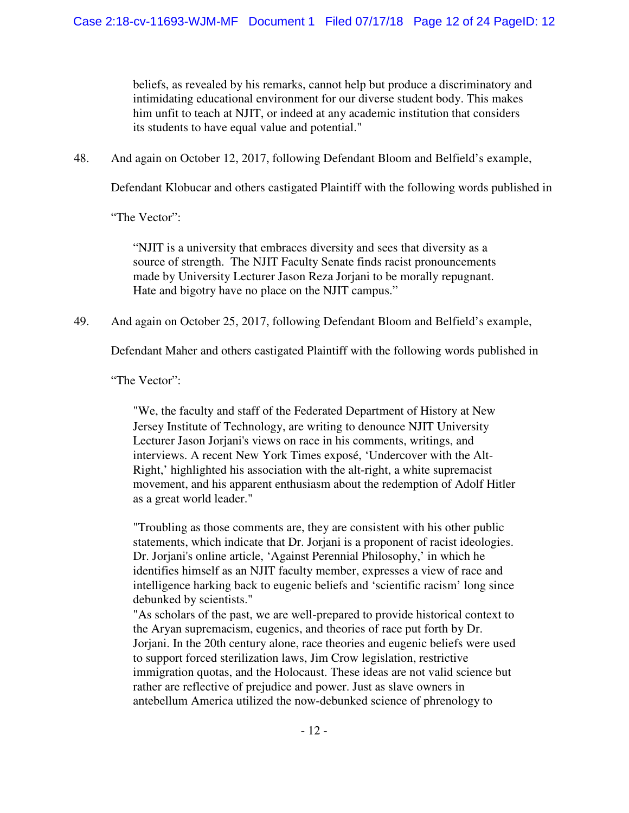beliefs, as revealed by his remarks, cannot help but produce a discriminatory and intimidating educational environment for our diverse student body. This makes him unfit to teach at NJIT, or indeed at any academic institution that considers its students to have equal value and potential."

48. And again on October 12, 2017, following Defendant Bloom and Belfield's example,

Defendant Klobucar and others castigated Plaintiff with the following words published in

"The Vector":

"NJIT is a university that embraces diversity and sees that diversity as a source of strength. The NJIT Faculty Senate finds racist pronouncements made by University Lecturer Jason Reza Jorjani to be morally repugnant. Hate and bigotry have no place on the NJIT campus."

49. And again on October 25, 2017, following Defendant Bloom and Belfield's example,

Defendant Maher and others castigated Plaintiff with the following words published in

"The Vector":

"We, the faculty and staff of the Federated Department of History at New Jersey Institute of Technology, are writing to denounce NJIT University Lecturer Jason Jorjani's views on race in his comments, writings, and interviews. A recent New York Times exposé, 'Undercover with the Alt-Right,' highlighted his association with the alt-right, a white supremacist movement, and his apparent enthusiasm about the redemption of Adolf Hitler as a great world leader."

"Troubling as those comments are, they are consistent with his other public statements, which indicate that Dr. Jorjani is a proponent of racist ideologies. Dr. Jorjani's online article, 'Against Perennial Philosophy,' in which he identifies himself as an NJIT faculty member, expresses a view of race and intelligence harking back to eugenic beliefs and 'scientific racism' long since debunked by scientists."

"As scholars of the past, we are well-prepared to provide historical context to the Aryan supremacism, eugenics, and theories of race put forth by Dr. Jorjani. In the 20th century alone, race theories and eugenic beliefs were used to support forced sterilization laws, Jim Crow legislation, restrictive immigration quotas, and the Holocaust. These ideas are not valid science but rather are reflective of prejudice and power. Just as slave owners in antebellum America utilized the now-debunked science of phrenology to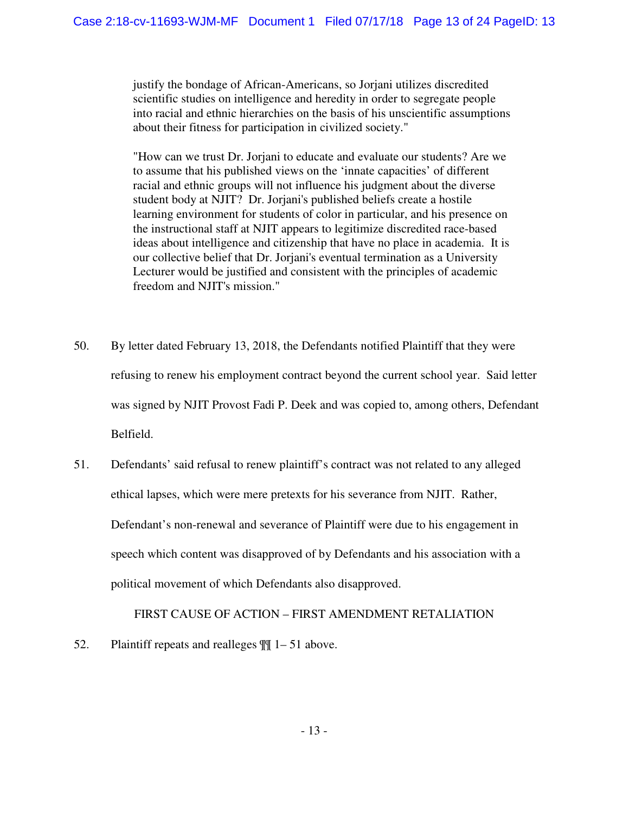justify the bondage of African-Americans, so Jorjani utilizes discredited scientific studies on intelligence and heredity in order to segregate people into racial and ethnic hierarchies on the basis of his unscientific assumptions about their fitness for participation in civilized society."

"How can we trust Dr. Jorjani to educate and evaluate our students? Are we to assume that his published views on the 'innate capacities' of different racial and ethnic groups will not influence his judgment about the diverse student body at NJIT? Dr. Jorjani's published beliefs create a hostile learning environment for students of color in particular, and his presence on the instructional staff at NJIT appears to legitimize discredited race-based ideas about intelligence and citizenship that have no place in academia. It is our collective belief that Dr. Jorjani's eventual termination as a University Lecturer would be justified and consistent with the principles of academic freedom and NJIT's mission."

- 50. By letter dated February 13, 2018, the Defendants notified Plaintiff that they were refusing to renew his employment contract beyond the current school year. Said letter was signed by NJIT Provost Fadi P. Deek and was copied to, among others, Defendant Belfield.
- 51. Defendants' said refusal to renew plaintiff's contract was not related to any alleged ethical lapses, which were mere pretexts for his severance from NJIT. Rather, Defendant's non-renewal and severance of Plaintiff were due to his engagement in speech which content was disapproved of by Defendants and his association with a political movement of which Defendants also disapproved.

FIRST CAUSE OF ACTION – FIRST AMENDMENT RETALIATION

52. Plaintiff repeats and realleges ¶¶ 1– 51 above.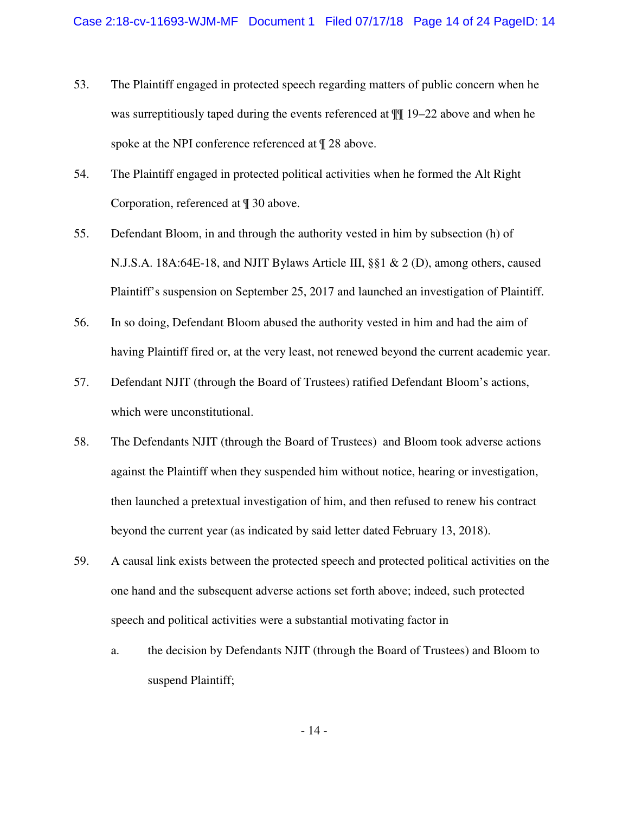- 53. The Plaintiff engaged in protected speech regarding matters of public concern when he was surreptitiously taped during the events referenced at  $\mathbb{I}$  19–22 above and when he spoke at the NPI conference referenced at  $\parallel$  28 above.
- 54. The Plaintiff engaged in protected political activities when he formed the Alt Right Corporation, referenced at ¶ 30 above.
- 55. Defendant Bloom, in and through the authority vested in him by subsection (h) of N.J.S.A. 18A:64E-18, and NJIT Bylaws Article III,  $\S$  $\setminus$   $\&$  2 (D), among others, caused Plaintiff's suspension on September 25, 2017 and launched an investigation of Plaintiff.
- 56. In so doing, Defendant Bloom abused the authority vested in him and had the aim of having Plaintiff fired or, at the very least, not renewed beyond the current academic year.
- 57. Defendant NJIT (through the Board of Trustees) ratified Defendant Bloom's actions, which were unconstitutional.
- 58. The Defendants NJIT (through the Board of Trustees) and Bloom took adverse actions against the Plaintiff when they suspended him without notice, hearing or investigation, then launched a pretextual investigation of him, and then refused to renew his contract beyond the current year (as indicated by said letter dated February 13, 2018).
- 59. A causal link exists between the protected speech and protected political activities on the one hand and the subsequent adverse actions set forth above; indeed, such protected speech and political activities were a substantial motivating factor in
	- a. the decision by Defendants NJIT (through the Board of Trustees) and Bloom to suspend Plaintiff;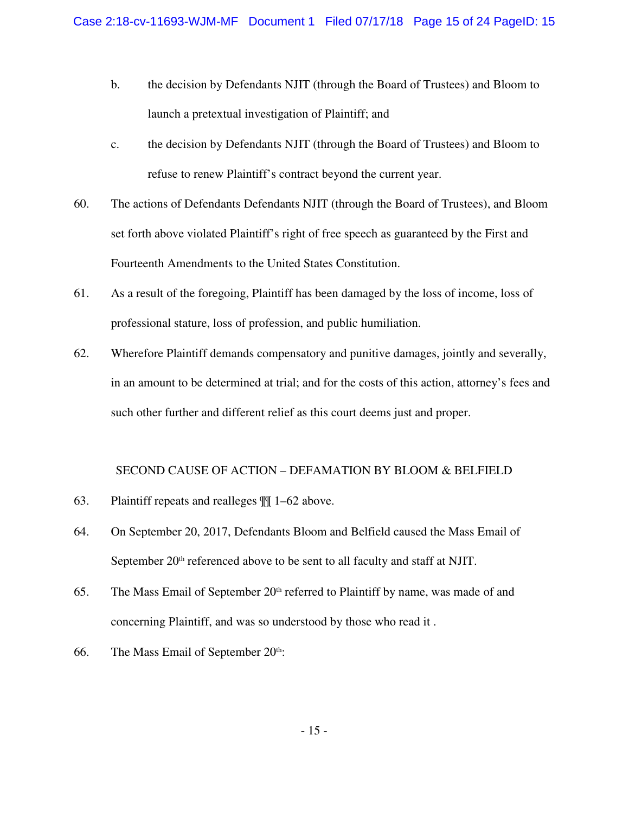- b. the decision by Defendants NJIT (through the Board of Trustees) and Bloom to launch a pretextual investigation of Plaintiff; and
- c. the decision by Defendants NJIT (through the Board of Trustees) and Bloom to refuse to renew Plaintiff's contract beyond the current year.
- 60. The actions of Defendants Defendants NJIT (through the Board of Trustees), and Bloom set forth above violated Plaintiff's right of free speech as guaranteed by the First and Fourteenth Amendments to the United States Constitution.
- 61. As a result of the foregoing, Plaintiff has been damaged by the loss of income, loss of professional stature, loss of profession, and public humiliation.
- 62. Wherefore Plaintiff demands compensatory and punitive damages, jointly and severally, in an amount to be determined at trial; and for the costs of this action, attorney's fees and such other further and different relief as this court deems just and proper.

## SECOND CAUSE OF ACTION – DEFAMATION BY BLOOM & BELFIELD

- 63. Plaintiff repeats and realleges ¶¶ 1–62 above.
- 64. On September 20, 2017, Defendants Bloom and Belfield caused the Mass Email of September 20<sup>th</sup> referenced above to be sent to all faculty and staff at NJIT.
- 65. The Mass Email of September  $20<sup>th</sup>$  referred to Plaintiff by name, was made of and concerning Plaintiff, and was so understood by those who read it .
- 66. The Mass Email of September  $20<sup>th</sup>$ :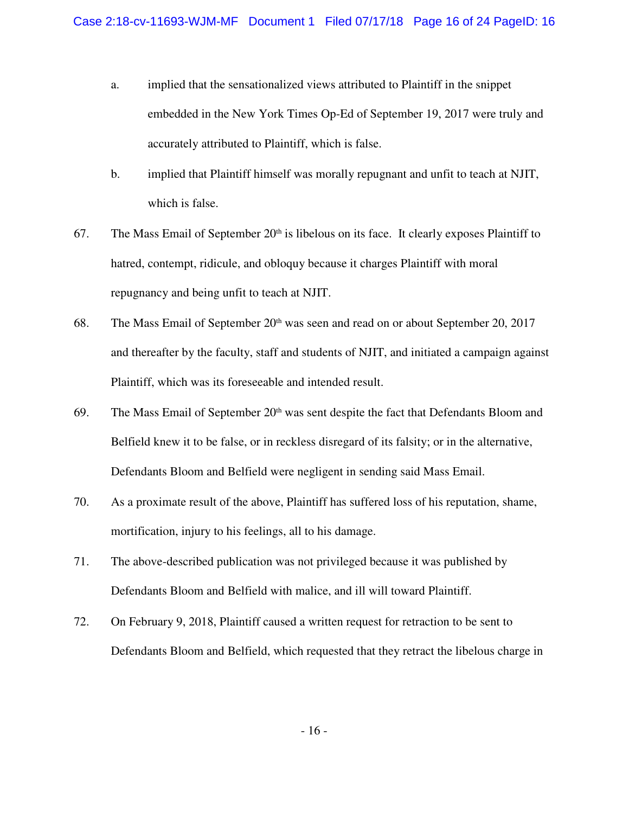- a. implied that the sensationalized views attributed to Plaintiff in the snippet embedded in the New York Times Op-Ed of September 19, 2017 were truly and accurately attributed to Plaintiff, which is false.
- b. implied that Plaintiff himself was morally repugnant and unfit to teach at NJIT, which is false.
- 67. The Mass Email of September  $20<sup>th</sup>$  is libelous on its face. It clearly exposes Plaintiff to hatred, contempt, ridicule, and obloquy because it charges Plaintiff with moral repugnancy and being unfit to teach at NJIT.
- 68. The Mass Email of September  $20<sup>th</sup>$  was seen and read on or about September 20, 2017 and thereafter by the faculty, staff and students of NJIT, and initiated a campaign against Plaintiff, which was its foreseeable and intended result.
- 69. The Mass Email of September 20<sup>th</sup> was sent despite the fact that Defendants Bloom and Belfield knew it to be false, or in reckless disregard of its falsity; or in the alternative, Defendants Bloom and Belfield were negligent in sending said Mass Email.
- 70. As a proximate result of the above, Plaintiff has suffered loss of his reputation, shame, mortification, injury to his feelings, all to his damage.
- 71. The above-described publication was not privileged because it was published by Defendants Bloom and Belfield with malice, and ill will toward Plaintiff.
- 72. On February 9, 2018, Plaintiff caused a written request for retraction to be sent to Defendants Bloom and Belfield, which requested that they retract the libelous charge in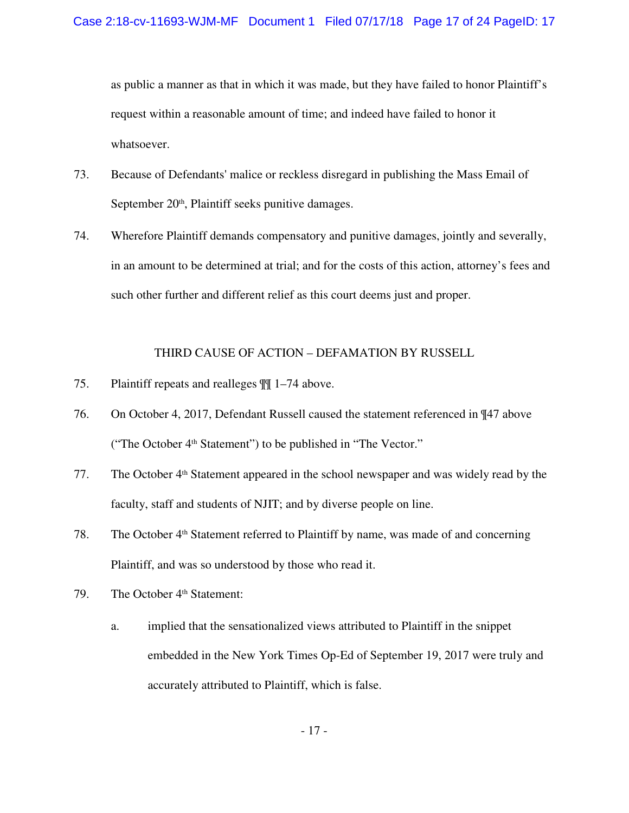as public a manner as that in which it was made, but they have failed to honor Plaintiff's request within a reasonable amount of time; and indeed have failed to honor it whatsoever.

- 73. Because of Defendants' malice or reckless disregard in publishing the Mass Email of September  $20<sup>th</sup>$ , Plaintiff seeks punitive damages.
- 74. Wherefore Plaintiff demands compensatory and punitive damages, jointly and severally, in an amount to be determined at trial; and for the costs of this action, attorney's fees and such other further and different relief as this court deems just and proper.

## THIRD CAUSE OF ACTION – DEFAMATION BY RUSSELL

- 75. Plaintiff repeats and realleges ¶¶ 1–74 above.
- 76. On October 4, 2017, Defendant Russell caused the statement referenced in ¶47 above ("The October 4th Statement") to be published in "The Vector."
- 77. The October 4th Statement appeared in the school newspaper and was widely read by the faculty, staff and students of NJIT; and by diverse people on line.
- 78. The October 4th Statement referred to Plaintiff by name, was made of and concerning Plaintiff, and was so understood by those who read it.
- 79. The October 4<sup>th</sup> Statement:
	- a. implied that the sensationalized views attributed to Plaintiff in the snippet embedded in the New York Times Op-Ed of September 19, 2017 were truly and accurately attributed to Plaintiff, which is false.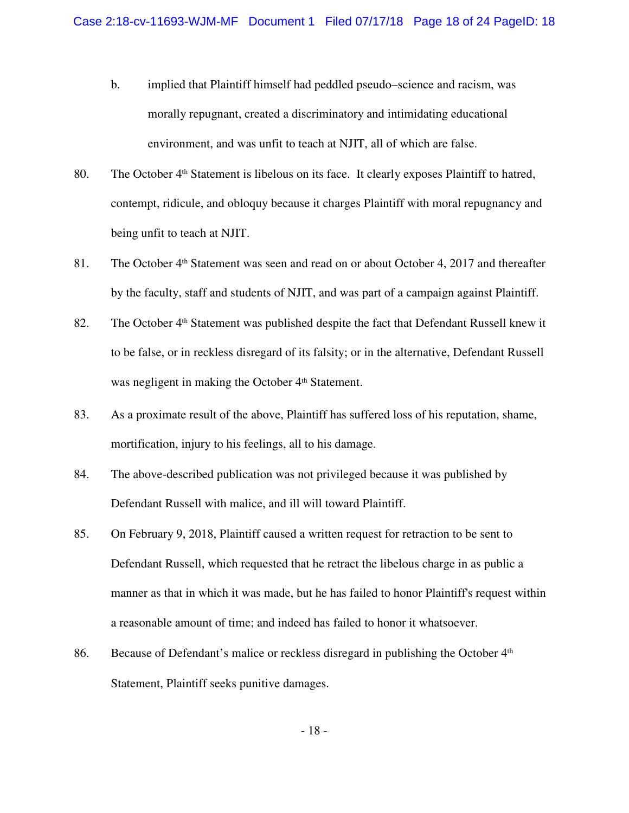- b. implied that Plaintiff himself had peddled pseudo–science and racism, was morally repugnant, created a discriminatory and intimidating educational environment, and was unfit to teach at NJIT, all of which are false.
- 80. The October 4<sup>th</sup> Statement is libelous on its face. It clearly exposes Plaintiff to hatred, contempt, ridicule, and obloquy because it charges Plaintiff with moral repugnancy and being unfit to teach at NJIT.
- 81. The October 4th Statement was seen and read on or about October 4, 2017 and thereafter by the faculty, staff and students of NJIT, and was part of a campaign against Plaintiff.
- 82. The October 4<sup>th</sup> Statement was published despite the fact that Defendant Russell knew it to be false, or in reckless disregard of its falsity; or in the alternative, Defendant Russell was negligent in making the October 4<sup>th</sup> Statement.
- 83. As a proximate result of the above, Plaintiff has suffered loss of his reputation, shame, mortification, injury to his feelings, all to his damage.
- 84. The above-described publication was not privileged because it was published by Defendant Russell with malice, and ill will toward Plaintiff.
- 85. On February 9, 2018, Plaintiff caused a written request for retraction to be sent to Defendant Russell, which requested that he retract the libelous charge in as public a manner as that in which it was made, but he has failed to honor Plaintiff's request within a reasonable amount of time; and indeed has failed to honor it whatsoever.
- 86. Because of Defendant's malice or reckless disregard in publishing the October 4<sup>th</sup> Statement, Plaintiff seeks punitive damages.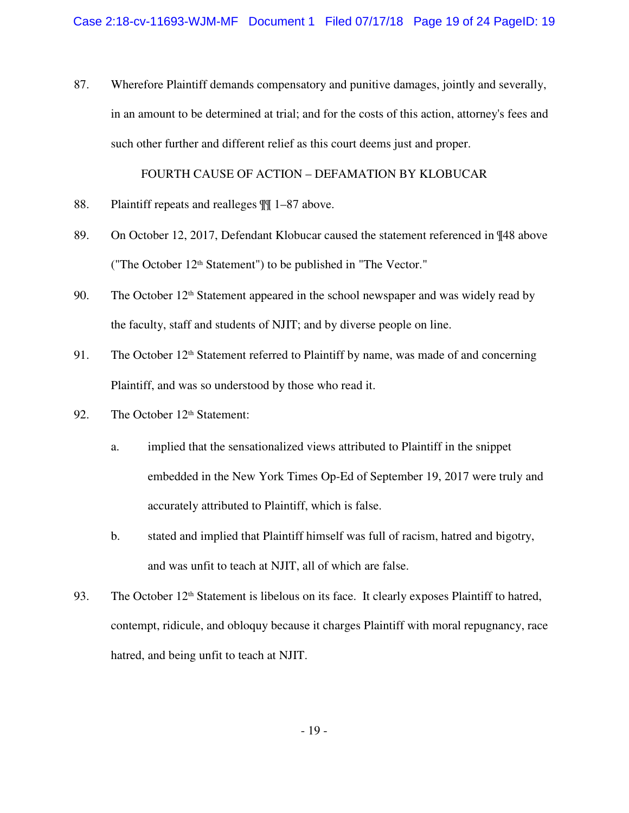87. Wherefore Plaintiff demands compensatory and punitive damages, jointly and severally, in an amount to be determined at trial; and for the costs of this action, attorney's fees and such other further and different relief as this court deems just and proper.

#### FOURTH CAUSE OF ACTION – DEFAMATION BY KLOBUCAR

- 88. Plaintiff repeats and realleges  $\mathbb{I}$  1–87 above.
- 89. On October 12, 2017, Defendant Klobucar caused the statement referenced in  $\P$ 48 above ("The October 12th Statement") to be published in "The Vector."
- 90. The October 12th Statement appeared in the school newspaper and was widely read by the faculty, staff and students of NJIT; and by diverse people on line.
- 91. The October 12<sup>th</sup> Statement referred to Plaintiff by name, was made of and concerning Plaintiff, and was so understood by those who read it.
- 92. The October 12<sup>th</sup> Statement:
	- a. implied that the sensationalized views attributed to Plaintiff in the snippet embedded in the New York Times Op-Ed of September 19, 2017 were truly and accurately attributed to Plaintiff, which is false.
	- b. stated and implied that Plaintiff himself was full of racism, hatred and bigotry, and was unfit to teach at NJIT, all of which are false.
- 93. The October 12<sup>th</sup> Statement is libelous on its face. It clearly exposes Plaintiff to hatred, contempt, ridicule, and obloquy because it charges Plaintiff with moral repugnancy, race hatred, and being unfit to teach at NJIT.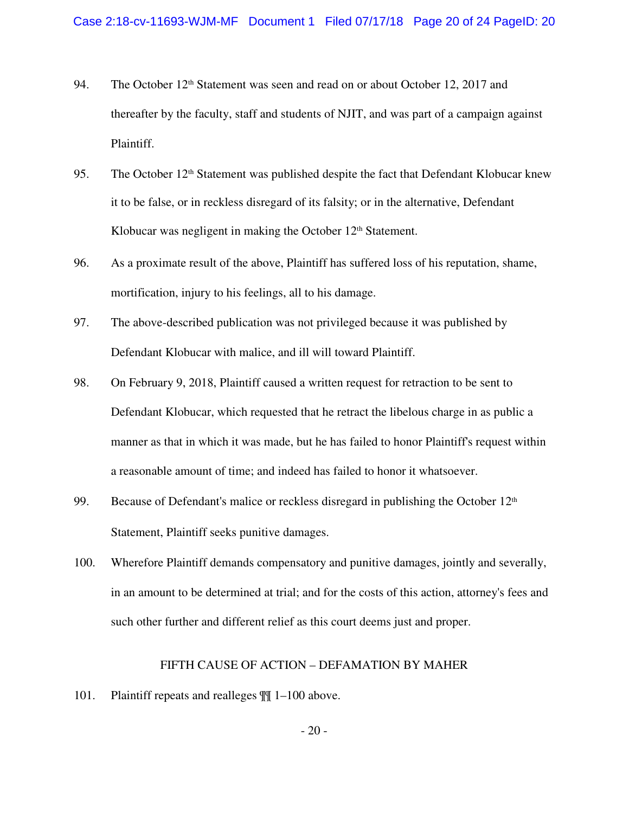- 94. The October 12<sup>th</sup> Statement was seen and read on or about October 12, 2017 and thereafter by the faculty, staff and students of NJIT, and was part of a campaign against Plaintiff.
- 95. The October 12<sup>th</sup> Statement was published despite the fact that Defendant Klobucar knew it to be false, or in reckless disregard of its falsity; or in the alternative, Defendant Klobucar was negligent in making the October  $12<sup>th</sup>$  Statement.
- 96. As a proximate result of the above, Plaintiff has suffered loss of his reputation, shame, mortification, injury to his feelings, all to his damage.
- 97. The above-described publication was not privileged because it was published by Defendant Klobucar with malice, and ill will toward Plaintiff.
- 98. On February 9, 2018, Plaintiff caused a written request for retraction to be sent to Defendant Klobucar, which requested that he retract the libelous charge in as public a manner as that in which it was made, but he has failed to honor Plaintiff's request within a reasonable amount of time; and indeed has failed to honor it whatsoever.
- 99. Because of Defendant's malice or reckless disregard in publishing the October 12<sup>th</sup> Statement, Plaintiff seeks punitive damages.
- 100. Wherefore Plaintiff demands compensatory and punitive damages, jointly and severally, in an amount to be determined at trial; and for the costs of this action, attorney's fees and such other further and different relief as this court deems just and proper.

#### FIFTH CAUSE OF ACTION – DEFAMATION BY MAHER

101. Plaintiff repeats and realleges ¶¶ 1–100 above.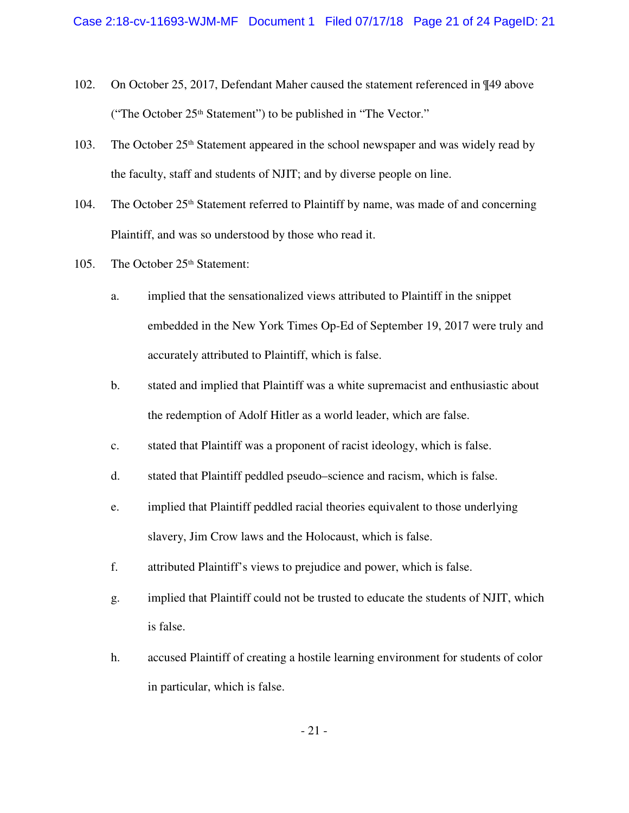- 102. On October 25, 2017, Defendant Maher caused the statement referenced in ¶49 above ("The October 25th Statement") to be published in "The Vector."
- 103. The October 25th Statement appeared in the school newspaper and was widely read by the faculty, staff and students of NJIT; and by diverse people on line.
- 104. The October 25<sup>th</sup> Statement referred to Plaintiff by name, was made of and concerning Plaintiff, and was so understood by those who read it.
- 105. The October 25<sup>th</sup> Statement:
	- a. implied that the sensationalized views attributed to Plaintiff in the snippet embedded in the New York Times Op-Ed of September 19, 2017 were truly and accurately attributed to Plaintiff, which is false.
	- b. stated and implied that Plaintiff was a white supremacist and enthusiastic about the redemption of Adolf Hitler as a world leader, which are false.
	- c. stated that Plaintiff was a proponent of racist ideology, which is false.
	- d. stated that Plaintiff peddled pseudo–science and racism, which is false.
	- e. implied that Plaintiff peddled racial theories equivalent to those underlying slavery, Jim Crow laws and the Holocaust, which is false.
	- f. attributed Plaintiff's views to prejudice and power, which is false.
	- g. implied that Plaintiff could not be trusted to educate the students of NJIT, which is false.
	- h. accused Plaintiff of creating a hostile learning environment for students of color in particular, which is false.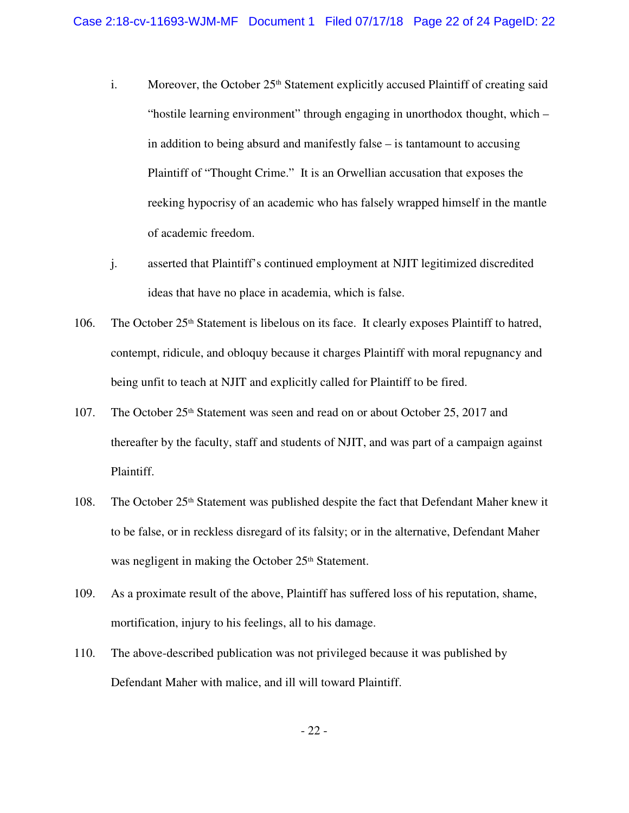- i. Moreover, the October  $25<sup>th</sup>$  Statement explicitly accused Plaintiff of creating said "hostile learning environment" through engaging in unorthodox thought, which – in addition to being absurd and manifestly false – is tantamount to accusing Plaintiff of "Thought Crime." It is an Orwellian accusation that exposes the reeking hypocrisy of an academic who has falsely wrapped himself in the mantle of academic freedom.
- j. asserted that Plaintiff's continued employment at NJIT legitimized discredited ideas that have no place in academia, which is false.
- 106. The October 25<sup>th</sup> Statement is libelous on its face. It clearly exposes Plaintiff to hatred, contempt, ridicule, and obloquy because it charges Plaintiff with moral repugnancy and being unfit to teach at NJIT and explicitly called for Plaintiff to be fired.
- 107. The October 25<sup>th</sup> Statement was seen and read on or about October 25, 2017 and thereafter by the faculty, staff and students of NJIT, and was part of a campaign against Plaintiff.
- 108. The October 25th Statement was published despite the fact that Defendant Maher knew it to be false, or in reckless disregard of its falsity; or in the alternative, Defendant Maher was negligent in making the October 25<sup>th</sup> Statement.
- 109. As a proximate result of the above, Plaintiff has suffered loss of his reputation, shame, mortification, injury to his feelings, all to his damage.
- 110. The above-described publication was not privileged because it was published by Defendant Maher with malice, and ill will toward Plaintiff.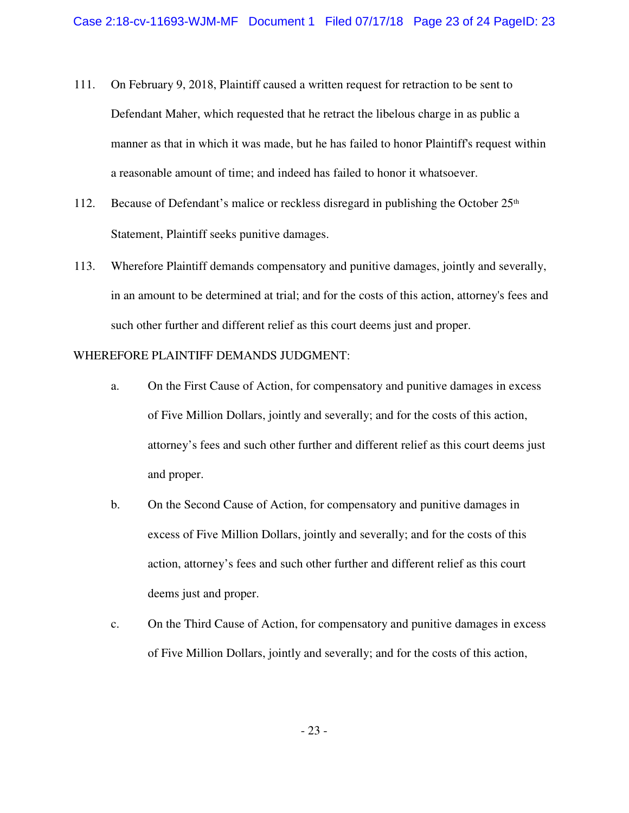- 111. On February 9, 2018, Plaintiff caused a written request for retraction to be sent to Defendant Maher, which requested that he retract the libelous charge in as public a manner as that in which it was made, but he has failed to honor Plaintiff's request within a reasonable amount of time; and indeed has failed to honor it whatsoever.
- 112. Because of Defendant's malice or reckless disregard in publishing the October  $25<sup>th</sup>$ Statement, Plaintiff seeks punitive damages.
- 113. Wherefore Plaintiff demands compensatory and punitive damages, jointly and severally, in an amount to be determined at trial; and for the costs of this action, attorney's fees and such other further and different relief as this court deems just and proper.

### WHEREFORE PLAINTIFF DEMANDS JUDGMENT:

- a. On the First Cause of Action, for compensatory and punitive damages in excess of Five Million Dollars, jointly and severally; and for the costs of this action, attorney's fees and such other further and different relief as this court deems just and proper.
- b. On the Second Cause of Action, for compensatory and punitive damages in excess of Five Million Dollars, jointly and severally; and for the costs of this action, attorney's fees and such other further and different relief as this court deems just and proper.
- c. On the Third Cause of Action, for compensatory and punitive damages in excess of Five Million Dollars, jointly and severally; and for the costs of this action,